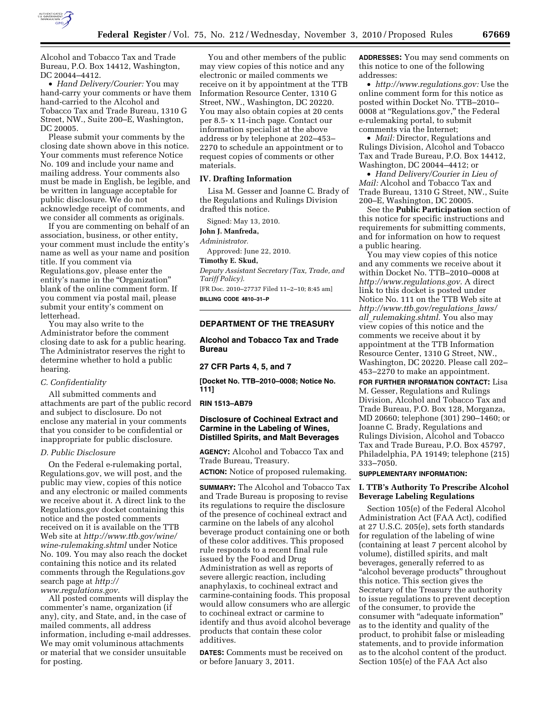

Alcohol and Tobacco Tax and Trade Bureau, P.O. Box 14412, Washington, DC 20044–4412.

• *Hand Delivery/Courier:* You may hand-carry your comments or have them hand-carried to the Alcohol and Tobacco Tax and Trade Bureau, 1310 G Street, NW., Suite 200–E, Washington, DC 20005.

Please submit your comments by the closing date shown above in this notice. Your comments must reference Notice No. 109 and include your name and mailing address. Your comments also must be made in English, be legible, and be written in language acceptable for public disclosure. We do not acknowledge receipt of comments, and we consider all comments as originals.

If you are commenting on behalf of an association, business, or other entity, your comment must include the entity's name as well as your name and position title. If you comment via Regulations.gov, please enter the entity's name in the "Organization" blank of the online comment form. If you comment via postal mail, please submit your entity's comment on letterhead.

You may also write to the Administrator before the comment closing date to ask for a public hearing. The Administrator reserves the right to determine whether to hold a public hearing.

## *C. Confidentiality*

All submitted comments and attachments are part of the public record and subject to disclosure. Do not enclose any material in your comments that you consider to be confidential or inappropriate for public disclosure.

#### *D. Public Disclosure*

On the Federal e-rulemaking portal, Regulations.gov, we will post, and the public may view, copies of this notice and any electronic or mailed comments we receive about it. A direct link to the Regulations.gov docket containing this notice and the posted comments received on it is available on the TTB Web site at *[http://www.ttb.gov/wine/](http://www.ttb.gov/wine/wine-rulemaking.shtml)  [wine-rulemaking.shtml](http://www.ttb.gov/wine/wine-rulemaking.shtml)* under Notice No. 109. You may also reach the docket containing this notice and its related comments through the Regulations.gov search page at *[http://](http://www.regulations.gov)  [www.regulations.gov](http://www.regulations.gov)*.

All posted comments will display the commenter's name, organization (if any), city, and State, and, in the case of mailed comments, all address information, including e-mail addresses. We may omit voluminous attachments or material that we consider unsuitable for posting.

You and other members of the public may view copies of this notice and any electronic or mailed comments we receive on it by appointment at the TTB Information Resource Center, 1310 G Street, NW., Washington, DC 20220. You may also obtain copies at 20 cents per 8.5- x 11-inch page. Contact our information specialist at the above address or by telephone at 202–453– 2270 to schedule an appointment or to request copies of comments or other materials.

#### **IV. Drafting Information**

Lisa M. Gesser and Joanne C. Brady of the Regulations and Rulings Division drafted this notice.

Signed: May 13, 2010.

# **John J. Manfreda,**

*Administrator.* 

Approved: June 22, 2010.

# **Timothy E. Skud,**

*Deputy Assistant Secretary (Tax, Trade, and Tariff Policy).*  [FR Doc. 2010–27737 Filed 11–2–10; 8:45 am]

**BILLING CODE 4810–31–P** 

## **DEPARTMENT OF THE TREASURY**

**Alcohol and Tobacco Tax and Trade Bureau** 

**27 CFR Parts 4, 5, and 7** 

**[Docket No. TTB–2010–0008; Notice No. 111]** 

#### **RIN 1513–AB79**

# **Disclosure of Cochineal Extract and Carmine in the Labeling of Wines, Distilled Spirits, and Malt Beverages**

**AGENCY:** Alcohol and Tobacco Tax and Trade Bureau, Treasury.

**ACTION:** Notice of proposed rulemaking.

**SUMMARY:** The Alcohol and Tobacco Tax and Trade Bureau is proposing to revise its regulations to require the disclosure of the presence of cochineal extract and carmine on the labels of any alcohol beverage product containing one or both of these color additives. This proposed rule responds to a recent final rule issued by the Food and Drug Administration as well as reports of severe allergic reaction, including anaphylaxis, to cochineal extract and carmine-containing foods. This proposal would allow consumers who are allergic to cochineal extract or carmine to identify and thus avoid alcohol beverage products that contain these color additives.

**DATES:** Comments must be received on or before January 3, 2011.

**ADDRESSES:** You may send comments on this notice to one of the following addresses:

• *[http://www.regulations.gov:](http://www.regulations.gov)* Use the online comment form for this notice as posted within Docket No. TTB–2010– 0008 at ''Regulations.gov,'' the Federal e-rulemaking portal, to submit comments via the Internet;

• *Mail:* Director, Regulations and Rulings Division, Alcohol and Tobacco Tax and Trade Bureau, P.O. Box 14412, Washington, DC 20044–4412; or

• *Hand Delivery/Courier in Lieu of Mail:* Alcohol and Tobacco Tax and Trade Bureau, 1310 G Street, NW., Suite 200–E, Washington, DC 20005.

See the **Public Participation** section of this notice for specific instructions and requirements for submitting comments, and for information on how to request a public hearing.

You may view copies of this notice and any comments we receive about it within Docket No. TTB–2010–0008 at *[http://www.regulations.gov.](http://www.regulations.gov)* A direct link to this docket is posted under Notice No. 111 on the TTB Web site at *[http://www.ttb.gov/regulations](http://www.ttb.gov/regulations_laws/all_rulemaking.shtml)*\_*laws/ all*\_*[rulemaking.shtml.](http://www.ttb.gov/regulations_laws/all_rulemaking.shtml)* You also may view copies of this notice and the comments we receive about it by appointment at the TTB Information Resource Center, 1310 G Street, NW., Washington, DC 20220. Please call 202– 453–2270 to make an appointment.

**FOR FURTHER INFORMATION CONTACT:** Lisa M. Gesser, Regulations and Rulings Division, Alcohol and Tobacco Tax and Trade Bureau, P.O. Box 128, Morganza, MD 20660; telephone (301) 290–1460; or Joanne C. Brady, Regulations and Rulings Division, Alcohol and Tobacco Tax and Trade Bureau, P.O. Box 45797, Philadelphia, PA 19149; telephone (215) 333–7050.

#### **SUPPLEMENTARY INFORMATION:**

## **I. TTB's Authority To Prescribe Alcohol Beverage Labeling Regulations**

Section 105(e) of the Federal Alcohol Administration Act (FAA Act), codified at 27 U.S.C. 205(e), sets forth standards for regulation of the labeling of wine (containing at least 7 percent alcohol by volume), distilled spirits, and malt beverages, generally referred to as ''alcohol beverage products'' throughout this notice. This section gives the Secretary of the Treasury the authority to issue regulations to prevent deception of the consumer, to provide the consumer with "adequate information" as to the identity and quality of the product, to prohibit false or misleading statements, and to provide information as to the alcohol content of the product. Section 105(e) of the FAA Act also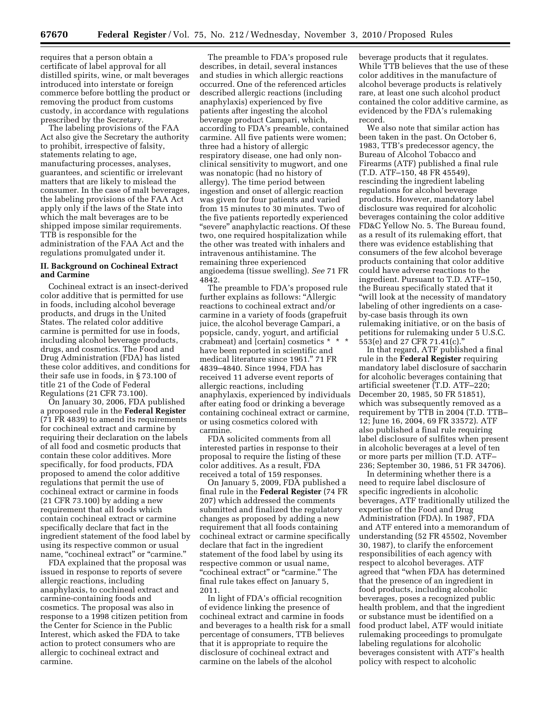requires that a person obtain a certificate of label approval for all distilled spirits, wine, or malt beverages introduced into interstate or foreign commerce before bottling the product or removing the product from customs custody, in accordance with regulations prescribed by the Secretary.

The labeling provisions of the FAA Act also give the Secretary the authority to prohibit, irrespective of falsity, statements relating to age, manufacturing processes, analyses, guarantees, and scientific or irrelevant matters that are likely to mislead the consumer. In the case of malt beverages, the labeling provisions of the FAA Act apply only if the laws of the State into which the malt beverages are to be shipped impose similar requirements. TTB is responsible for the administration of the FAA Act and the regulations promulgated under it.

## **II. Background on Cochineal Extract and Carmine**

Cochineal extract is an insect-derived color additive that is permitted for use in foods, including alcohol beverage products, and drugs in the United States. The related color additive carmine is permitted for use in foods, including alcohol beverage products, drugs, and cosmetics. The Food and Drug Administration (FDA) has listed these color additives, and conditions for their safe use in foods, in § 73.100 of title 21 of the Code of Federal Regulations (21 CFR 73.100).

On January 30, 2006, FDA published a proposed rule in the **Federal Register**  (71 FR 4839) to amend its requirements for cochineal extract and carmine by requiring their declaration on the labels of all food and cosmetic products that contain these color additives. More specifically, for food products, FDA proposed to amend the color additive regulations that permit the use of cochineal extract or carmine in foods (21 CFR 73.100) by adding a new requirement that all foods which contain cochineal extract or carmine specifically declare that fact in the ingredient statement of the food label by using its respective common or usual name, "cochineal extract" or "carmine."

FDA explained that the proposal was issued in response to reports of severe allergic reactions, including anaphylaxis, to cochineal extract and carmine-containing foods and cosmetics. The proposal was also in response to a 1998 citizen petition from the Center for Science in the Public Interest, which asked the FDA to take action to protect consumers who are allergic to cochineal extract and carmine.

The preamble to FDA's proposed rule describes, in detail, several instances and studies in which allergic reactions occurred. One of the referenced articles described allergic reactions (including anaphylaxis) experienced by five patients after ingesting the alcohol beverage product Campari, which, according to FDA's preamble, contained carmine. All five patients were women; three had a history of allergic respiratory disease, one had only nonclinical sensitivity to mugwort, and one was nonatopic (had no history of allergy). The time period between ingestion and onset of allergic reaction was given for four patients and varied from 15 minutes to 30 minutes. Two of the five patients reportedly experienced "severe" anaphylactic reactions. Of these two, one required hospitalization while the other was treated with inhalers and intravenous antihistamine. The remaining three experienced angioedema (tissue swelling). *See* 71 FR 4842.

The preamble to FDA's proposed rule further explains as follows: ''Allergic reactions to cochineal extract and/or carmine in a variety of foods (grapefruit juice, the alcohol beverage Campari, a popsicle, candy, yogurt, and artificial crabmeat) and [certain] cosmetics \* \* \* have been reported in scientific and medical literature since 1961.'' 71 FR 4839–4840. Since 1994, FDA has received 11 adverse event reports of allergic reactions, including anaphylaxis, experienced by individuals after eating food or drinking a beverage containing cochineal extract or carmine, or using cosmetics colored with carmine.

FDA solicited comments from all interested parties in response to their proposal to require the listing of these color additives. As a result, FDA received a total of 159 responses.

On January 5, 2009, FDA published a final rule in the **Federal Register** (74 FR 207) which addressed the comments submitted and finalized the regulatory changes as proposed by adding a new requirement that all foods containing cochineal extract or carmine specifically declare that fact in the ingredient statement of the food label by using its respective common or usual name, "cochineal extract" or "carmine." The final rule takes effect on January 5, 2011.

In light of FDA's official recognition of evidence linking the presence of cochineal extract and carmine in foods and beverages to a health risk for a small percentage of consumers, TTB believes that it is appropriate to require the disclosure of cochineal extract and carmine on the labels of the alcohol

beverage products that it regulates. While TTB believes that the use of these color additives in the manufacture of alcohol beverage products is relatively rare, at least one such alcohol product contained the color additive carmine, as evidenced by the FDA's rulemaking record.

We also note that similar action has been taken in the past. On October 6, 1983, TTB's predecessor agency, the Bureau of Alcohol Tobacco and Firearms (ATF) published a final rule (T.D. ATF–150, 48 FR 45549), rescinding the ingredient labeling regulations for alcohol beverage products. However, mandatory label disclosure was required for alcoholic beverages containing the color additive FD&C Yellow No. 5. The Bureau found, as a result of its rulemaking effort, that there was evidence establishing that consumers of the few alcohol beverage products containing that color additive could have adverse reactions to the ingredient. Pursuant to T.D. ATF–150, the Bureau specifically stated that it ''will look at the necessity of mandatory labeling of other ingredients on a caseby-case basis through its own rulemaking initiative, or on the basis of petitions for rulemaking under 5 U.S.C. 553(e) and 27 CFR 71.41(c).''

In that regard, ATF published a final rule in the **Federal Register** requiring mandatory label disclosure of saccharin for alcoholic beverages containing that artificial sweetener (T.D. ATF–220; December 20, 1985, 50 FR 51851), which was subsequently removed as a requirement by TTB in 2004 (T.D. TTB– 12; June 16, 2004, 69 FR 33572). ATF also published a final rule requiring label disclosure of sulfites when present in alcoholic beverages at a level of ten or more parts per million (T.D. ATF– 236; September 30, 1986, 51 FR 34706).

In determining whether there is a need to require label disclosure of specific ingredients in alcoholic beverages, ATF traditionally utilized the expertise of the Food and Drug Administration (FDA). In 1987, FDA and ATF entered into a memorandum of understanding (52 FR 45502, November 30, 1987), to clarify the enforcement responsibilities of each agency with respect to alcohol beverages. ATF agreed that ''when FDA has determined that the presence of an ingredient in food products, including alcoholic beverages, poses a recognized public health problem, and that the ingredient or substance must be identified on a food product label, ATF would initiate rulemaking proceedings to promulgate labeling regulations for alcoholic beverages consistent with ATF's health policy with respect to alcoholic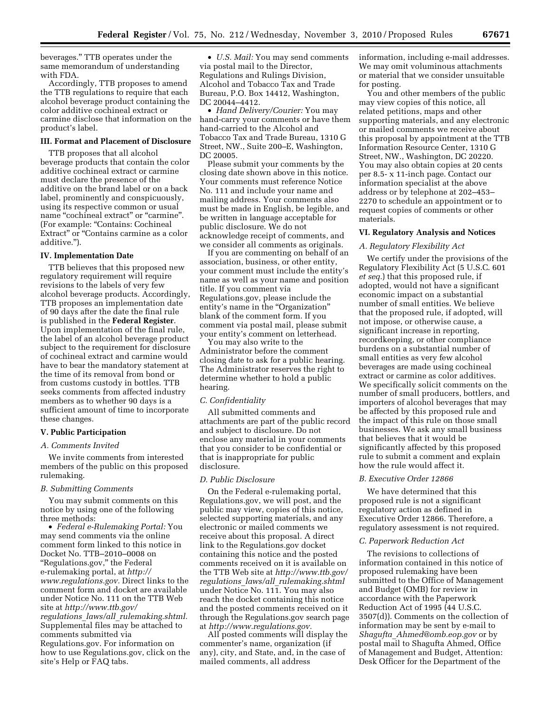beverages.'' TTB operates under the same memorandum of understanding with FDA.

Accordingly, TTB proposes to amend the TTB regulations to require that each alcohol beverage product containing the color additive cochineal extract or carmine disclose that information on the product's label.

## **III. Format and Placement of Disclosure**

TTB proposes that all alcohol beverage products that contain the color additive cochineal extract or carmine must declare the presence of the additive on the brand label or on a back label, prominently and conspicuously, using its respective common or usual name "cochineal extract" or "carmine". (For example: ''Contains: Cochineal Extract'' or ''Contains carmine as a color additive.'').

### **IV. Implementation Date**

TTB believes that this proposed new regulatory requirement will require revisions to the labels of very few alcohol beverage products. Accordingly, TTB proposes an implementation date of 90 days after the date the final rule is published in the **Federal Register**. Upon implementation of the final rule, the label of an alcohol beverage product subject to the requirement for disclosure of cochineal extract and carmine would have to bear the mandatory statement at the time of its removal from bond or from customs custody in bottles. TTB seeks comments from affected industry members as to whether 90 days is a sufficient amount of time to incorporate these changes.

### **V. Public Participation**

### *A. Comments Invited*

We invite comments from interested members of the public on this proposed rulemaking.

### *B. Submitting Comments*

You may submit comments on this notice by using one of the following three methods:

• *Federal e-Rulemaking Portal:* You may send comments via the online comment form linked to this notice in Docket No. TTB–2010–0008 on ''Regulations.gov,'' the Federal e-rulemaking portal, at *[http://](http://www.regulations.gov)  [www.regulations.gov.](http://www.regulations.gov)* Direct links to the comment form and docket are available under Notice No. 111 on the TTB Web site at *[http://www.ttb.gov/](http://www.ttb.gov/regulations_laws/all_rulemaking.shtml)  regulations*\_*laws/all*\_*[rulemaking.shtml.](http://www.ttb.gov/regulations_laws/all_rulemaking.shtml)* 

Supplemental files may be attached to comments submitted via

Regulations.gov. For information on how to use Regulations.gov, click on the site's Help or FAQ tabs.

• *U.S. Mail:* You may send comments via postal mail to the Director, Regulations and Rulings Division, Alcohol and Tobacco Tax and Trade Bureau, P.O. Box 14412, Washington, DC 20044–4412.

• *Hand Delivery/Courier:* You may hand-carry your comments or have them hand-carried to the Alcohol and Tobacco Tax and Trade Bureau, 1310 G Street, NW., Suite 200–E, Washington, DC 20005.

Please submit your comments by the closing date shown above in this notice. Your comments must reference Notice No. 111 and include your name and mailing address. Your comments also must be made in English, be legible, and be written in language acceptable for public disclosure. We do not acknowledge receipt of comments, and we consider all comments as originals.

If you are commenting on behalf of an association, business, or other entity, your comment must include the entity's name as well as your name and position title. If you comment via Regulations.gov, please include the entity's name in the "Organization" blank of the comment form. If you comment via postal mail, please submit your entity's comment on letterhead.

You may also write to the Administrator before the comment closing date to ask for a public hearing. The Administrator reserves the right to determine whether to hold a public hearing.

#### *C. Confidentiality*

All submitted comments and attachments are part of the public record and subject to disclosure. Do not enclose any material in your comments that you consider to be confidential or that is inappropriate for public disclosure.

### *D. Public Disclosure*

On the Federal e-rulemaking portal, Regulations.gov, we will post, and the public may view, copies of this notice, selected supporting materials, and any electronic or mailed comments we receive about this proposal. A direct link to the Regulations.gov docket containing this notice and the posted comments received on it is available on the TTB Web site at *[http://www.ttb.gov/](http://www.ttb.gov/regulations_laws/all_rulemaking.shtml) regulations*\_*laws/all*\_*[rulemaking.shtml](http://www.ttb.gov/regulations_laws/all_rulemaking.shtml)*  under Notice No. 111. You may also reach the docket containing this notice and the posted comments received on it through the Regulations.gov search page at *[http://www.regulations.gov.](http://www.regulations.gov)* 

All posted comments will display the commenter's name, organization (if any), city, and State, and, in the case of mailed comments, all address

information, including e-mail addresses. We may omit voluminous attachments or material that we consider unsuitable for posting.

You and other members of the public may view copies of this notice, all related petitions, maps and other supporting materials, and any electronic or mailed comments we receive about this proposal by appointment at the TTB Information Resource Center, 1310 G Street, NW., Washington, DC 20220. You may also obtain copies at 20 cents per 8.5- x 11-inch page. Contact our information specialist at the above address or by telephone at 202–453– 2270 to schedule an appointment or to request copies of comments or other materials.

### **VI. Regulatory Analysis and Notices**

### *A. Regulatory Flexibility Act*

We certify under the provisions of the Regulatory Flexibility Act (5 U.S.C. 601 *et seq.*) that this proposed rule, if adopted, would not have a significant economic impact on a substantial number of small entities. We believe that the proposed rule, if adopted, will not impose, or otherwise cause, a significant increase in reporting, recordkeeping, or other compliance burdens on a substantial number of small entities as very few alcohol beverages are made using cochineal extract or carmine as color additives. We specifically solicit comments on the number of small producers, bottlers, and importers of alcohol beverages that may be affected by this proposed rule and the impact of this rule on those small businesses. We ask any small business that believes that it would be significantly affected by this proposed rule to submit a comment and explain how the rule would affect it.

### *B. Executive Order 12866*

We have determined that this proposed rule is not a significant regulatory action as defined in Executive Order 12866. Therefore, a regulatory assessment is not required.

### *C. Paperwork Reduction Act*

The revisions to collections of information contained in this notice of proposed rulemaking have been submitted to the Office of Management and Budget (OMB) for review in accordance with the Paperwork Reduction Act of 1995 (44 U.S.C. 3507(d)). Comments on the collection of information may be sent by e-mail to *Shagufta*\_*[Ahmed@omb.eop.gov](mailto:Shagufta_Ahmed@omb.eop.gov)* or by postal mail to Shagufta Ahmed, Office of Management and Budget, Attention: Desk Officer for the Department of the